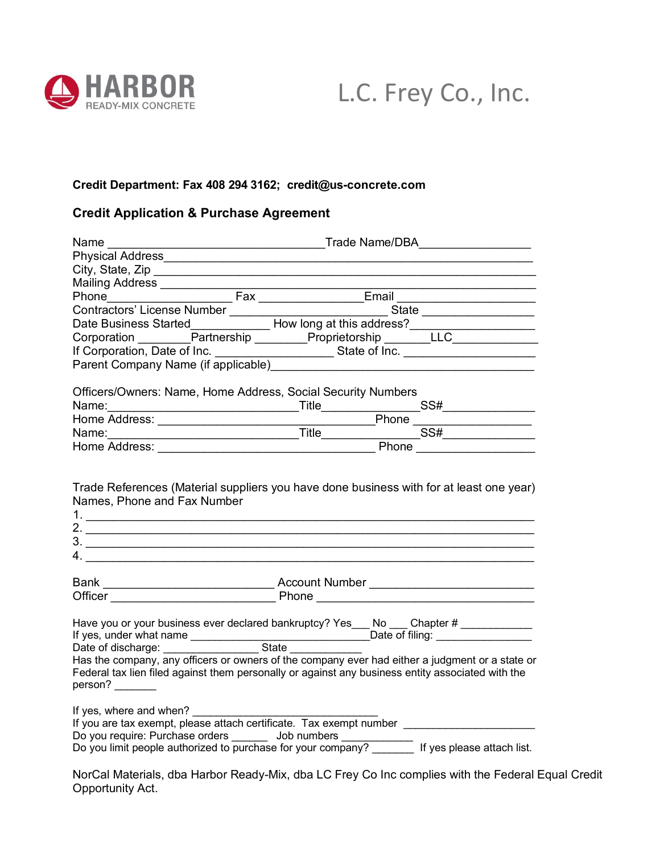



## **Credit Department: Fax 408 294 3162; credit@us-concrete.com**

## **Credit Application & Purchase Agreement**

| Name $\qquad \qquad$                                                                                                                                                                                                                                                                                      |                                                                                                                         |  |  |
|-----------------------------------------------------------------------------------------------------------------------------------------------------------------------------------------------------------------------------------------------------------------------------------------------------------|-------------------------------------------------------------------------------------------------------------------------|--|--|
|                                                                                                                                                                                                                                                                                                           |                                                                                                                         |  |  |
| City, State, Zip                                                                                                                                                                                                                                                                                          |                                                                                                                         |  |  |
| Mailing Address ______________                                                                                                                                                                                                                                                                            | <u> 1989 - Johann Stoff, deutscher Stoffen und der Stoffen und der Stoffen und der Stoffen und der Stoffen und der </u> |  |  |
|                                                                                                                                                                                                                                                                                                           |                                                                                                                         |  |  |
|                                                                                                                                                                                                                                                                                                           |                                                                                                                         |  |  |
| Contractors' License Number<br>Date Business Started Mark Corporation Mark Corporation Mark Corporation Mark Corporation Mark Corporation Mark Corporation Mark Corporation Mark Corporation Mark Corporation Mark Corporation M                                                                          |                                                                                                                         |  |  |
|                                                                                                                                                                                                                                                                                                           |                                                                                                                         |  |  |
|                                                                                                                                                                                                                                                                                                           |                                                                                                                         |  |  |
|                                                                                                                                                                                                                                                                                                           |                                                                                                                         |  |  |
|                                                                                                                                                                                                                                                                                                           |                                                                                                                         |  |  |
| Officers/Owners: Name, Home Address, Social Security Numbers                                                                                                                                                                                                                                              |                                                                                                                         |  |  |
|                                                                                                                                                                                                                                                                                                           |                                                                                                                         |  |  |
|                                                                                                                                                                                                                                                                                                           |                                                                                                                         |  |  |
| Home Address: Phone Phone Phone Phone Phone Phone Phone Phone Phone Phone Phone Phone Phone Phone Phone Phone Phone Phone Phone Phone Phone Phone Phone Phone Phone Phone Phone Phone Phone Phone Phone Phone Phone Phone Phon                                                                            |                                                                                                                         |  |  |
|                                                                                                                                                                                                                                                                                                           |                                                                                                                         |  |  |
| Names, Phone and Fax Number<br>2. $\overline{\phantom{a}}$                                                                                                                                                                                                                                                |                                                                                                                         |  |  |
|                                                                                                                                                                                                                                                                                                           |                                                                                                                         |  |  |
|                                                                                                                                                                                                                                                                                                           |                                                                                                                         |  |  |
| Have you or your business ever declared bankruptcy? Yes___ No ___ Chapter # __________<br>Has the company, any officers or owners of the company ever had either a judgment or a state or<br>Federal tax lien filed against them personally or against any business entity associated with the<br>person? |                                                                                                                         |  |  |
| If yes, where and when?<br>Do you require: Purchase orders _______ Job numbers ____________________________<br>Do you limit people authorized to purchase for your company? __________ If yes please attach list.                                                                                         |                                                                                                                         |  |  |

NorCal Materials, dba Harbor Ready-Mix, dba LC Frey Co Inc complies with the Federal Equal Credit Opportunity Act.